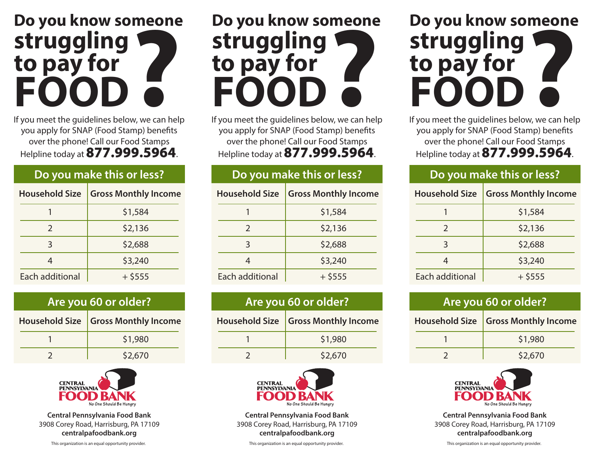# **Meone**<br> **Property**<br> **Property**<br> **Property**<br> **Property Do you know someone struggling to pay for FOOD**

If you meet the guidelines below, we can help you apply for SNAP (Food Stamp) benefits over the phone! Call our Food Stamps Helpline today at**877.999.5964**.

#### **Do you make this or less?**

| <b>Household Size</b> | <b>Gross Monthly Income</b> |
|-----------------------|-----------------------------|
|                       | \$1,584                     |
| $\mathcal{L}$         | \$2,136                     |
| 3                     | \$2,688                     |
| 4                     | \$3,240                     |
| Each additional       | $+$ \$555                   |

| Are you 60 or older? |                                       |
|----------------------|---------------------------------------|
|                      | Household Size   Gross Monthly Income |
|                      | \$1,980                               |
|                      | \$2,670                               |



**Central Pennsylvania Food Bank** 3908 Corey Road, Harrisburg, PA 17109 **centralpafoodbank.org**

This organization is an equal opportunity provider.

# **Property**<br> **Property**<br> **Property**<br> **Property**<br> **Property**<br> **Property**<br> **Property**<br> **Property Do you know someone struggling to pay for FOOD**

If you meet the guidelines below, we can help you apply for SNAP (Food Stamp) benefits over the phone! Call our Food Stamps Helpline today at**877.999.5964**.

### **Do you make this or less?**

| <b>Gross Monthly Income</b> |
|-----------------------------|
| \$1,584                     |
| \$2,136                     |
| \$2,688                     |
| \$3,240                     |
| $+$ \$555                   |
|                             |

| Are you 60 or older? |                                     |
|----------------------|-------------------------------------|
|                      | Household Size Gross Monthly Income |
|                      | \$1,980                             |
|                      | \$2,670                             |



**Central Pennsylvania Food Bank** 3908 Corey Road, Harrisburg, PA 17109 **centralpafoodbank.org**

This organization is an equal opportunity provider.



If you meet the guidelines below, we can help you apply for SNAP (Food Stamp) benefits over the phone! Call our Food Stamps Helpline today at**877.999.5964**.

#### **Do you make this or less?**

| <b>Household Size</b> | <b>Gross Monthly Income</b> |
|-----------------------|-----------------------------|
|                       | \$1,584                     |
| $\mathcal{L}$         | \$2,136                     |
| 3                     | \$2,688                     |
|                       | \$3,240                     |
| Each additional       | $+$ \$555                   |

| Are you 60 or older? |                                     |
|----------------------|-------------------------------------|
|                      | Household Size Gross Monthly Income |
|                      | \$1,980                             |
|                      | \$2,670                             |



**Central Pennsylvania Food Bank** 3908 Corey Road, Harrisburg, PA 17109 **centralpafoodbank.org**

This organization is an equal opportunity provider.